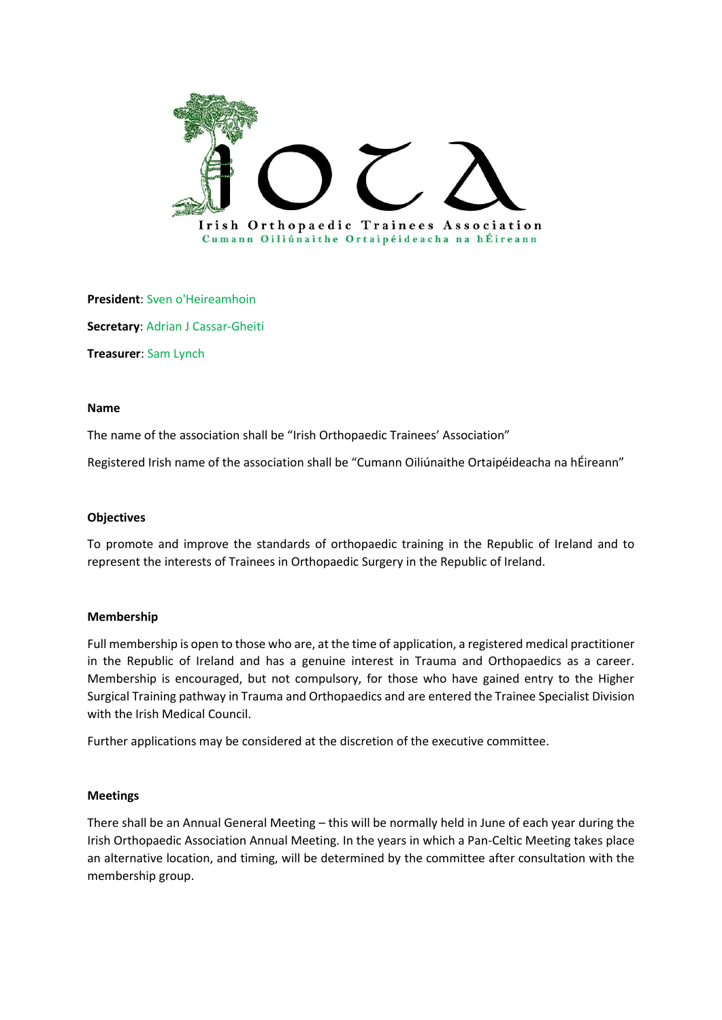

**President**: Sven o'Heireamhoin **Secretary**: Adrian J Cassar-Gheiti **Treasurer**: Sam Lynch

## **Name**

The name of the association shall be "Irish Orthopaedic Trainees' Association"

Registered Irish name of the association shall be "Cumann Oiliúnaithe Ortaipéideacha na hÉireann"

# **Objectives**

To promote and improve the standards of orthopaedic training in the Republic of Ireland and to represent the interests of Trainees in Orthopaedic Surgery in the Republic of Ireland.

### **Membership**

Full membership is open to those who are, at the time of application, a registered medical practitioner in the Republic of Ireland and has a genuine interest in Trauma and Orthopaedics as a career. Membership is encouraged, but not compulsory, for those who have gained entry to the Higher Surgical Training pathway in Trauma and Orthopaedics and are entered the Trainee Specialist Division with the Irish Medical Council.

Further applications may be considered at the discretion of the executive committee.

### **Meetings**

There shall be an Annual General Meeting – this will be normally held in June of each year during the Irish Orthopaedic Association Annual Meeting. In the years in which a Pan-Celtic Meeting takes place an alternative location, and timing, will be determined by the committee after consultation with the membership group.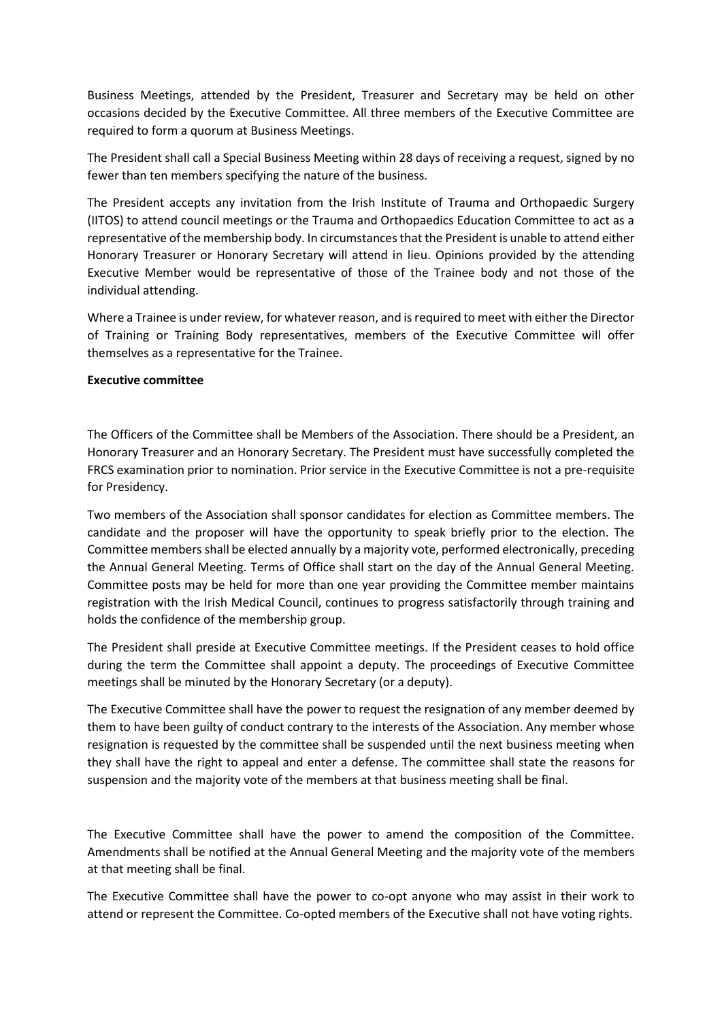Business Meetings, attended by the President, Treasurer and Secretary may be held on other occasions decided by the Executive Committee. All three members of the Executive Committee are required to form a quorum at Business Meetings.

The President shall call a Special Business Meeting within 28 days of receiving a request, signed by no fewer than ten members specifying the nature of the business.

The President accepts any invitation from the Irish Institute of Trauma and Orthopaedic Surgery (IITOS) to attend council meetings or the Trauma and Orthopaedics Education Committee to act as a representative of the membership body. In circumstances that the President is unable to attend either Honorary Treasurer or Honorary Secretary will attend in lieu. Opinions provided by the attending Executive Member would be representative of those of the Trainee body and not those of the individual attending.

Where a Trainee is under review, for whatever reason, and is required to meet with either the Director of Training or Training Body representatives, members of the Executive Committee will offer themselves as a representative for the Trainee.

# **Executive committee**

The Officers of the Committee shall be Members of the Association. There should be a President, an Honorary Treasurer and an Honorary Secretary. The President must have successfully completed the FRCS examination prior to nomination. Prior service in the Executive Committee is not a pre-requisite for Presidency.

Two members of the Association shall sponsor candidates for election as Committee members. The candidate and the proposer will have the opportunity to speak briefly prior to the election. The Committee members shall be elected annually by a majority vote, performed electronically, preceding the Annual General Meeting. Terms of Office shall start on the day of the Annual General Meeting. Committee posts may be held for more than one year providing the Committee member maintains registration with the Irish Medical Council, continues to progress satisfactorily through training and holds the confidence of the membership group.

The President shall preside at Executive Committee meetings. If the President ceases to hold office during the term the Committee shall appoint a deputy. The proceedings of Executive Committee meetings shall be minuted by the Honorary Secretary (or a deputy).

The Executive Committee shall have the power to request the resignation of any member deemed by them to have been guilty of conduct contrary to the interests of the Association. Any member whose resignation is requested by the committee shall be suspended until the next business meeting when they shall have the right to appeal and enter a defense. The committee shall state the reasons for suspension and the majority vote of the members at that business meeting shall be final.

The Executive Committee shall have the power to amend the composition of the Committee. Amendments shall be notified at the Annual General Meeting and the majority vote of the members at that meeting shall be final.

The Executive Committee shall have the power to co-opt anyone who may assist in their work to attend or represent the Committee. Co-opted members of the Executive shall not have voting rights.